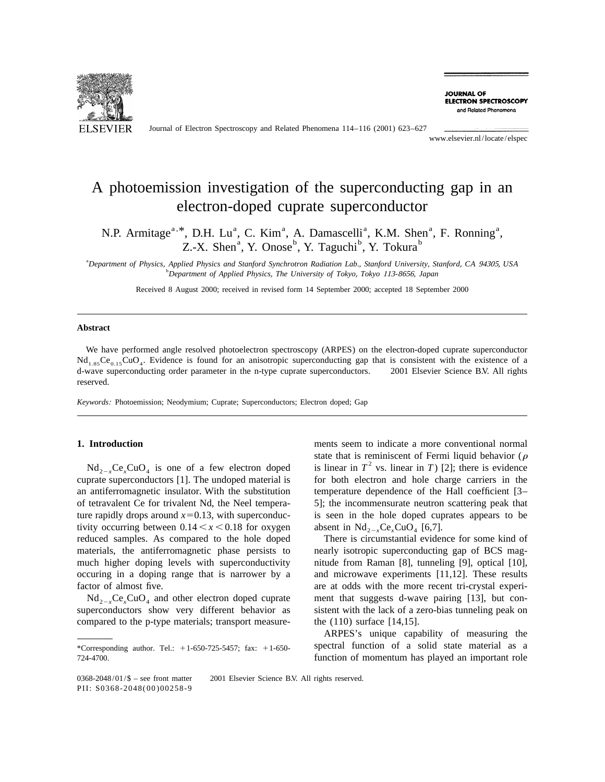

Journal of Electron Spectroscopy and Related Phenomena 114–116 (2001) 623–627

**JOURNAL OF ELECTRON SPECTROSCOPY** and Related Phenomena

www.elsevier.nl/locate/elspec

# A photoemission investigation of the superconducting gap in an electron-doped cuprate superconductor

N.P. Armitage<sup>a, \*</sup>, D.H. Lu<sup>a</sup>, C. Kim<sup>a</sup>, A. Damascelli<sup>a</sup>, K.M. Shen<sup>a</sup>, F. Ronning<sup>a</sup>, Z.-X. Shen<sup>a</sup>, Y. Onose<sup>b</sup>, Y. Taguchi<sup>b</sup>, Y. Tokura<sup>b</sup>

a *Department of Physics*, *Applied Physics and Stanford Synchrotron Radiation Lab*., *Stanford University*, *Stanford*, *CA* 94305, *USA* b *Department of Applied Physics*, *The University of Tokyo*, *Tokyo* <sup>113</sup>-8656, *Japan*

Received 8 August 2000; received in revised form 14 September 2000; accepted 18 September 2000

### **Abstract**

We have performed angle resolved photoelectron spectroscopy (ARPES) on the electron-doped cuprate superconductor  $Nd_{1.85}Ce_{0.15}CuO_4$ . Evidence is found for an anisotropic superconducting gap that is consistent with the existence of a d-wave superconducting order parameter in the n-type cuprate superconductors.  $\degree$  2001 Elsevier Science B.V. All rights reserved.

*Keywords*: Photoemission; Neodymium; Cuprate; Superconductors; Electron doped; Gap

cuprate superconductors [1]. The undoped material is ture rapidly drops around  $x=0.13$ , with superconduc- is seen in the hole doped cuprates appears to be tivity occurring between  $0.14 \lt x \lt 0.18$  for oxygen absent in  $Nd_{2-x}Ce_xCuO_4$  [6,7].<br>reduced samples. As compared to the hole doped There is circumstantial evident materials, the antiferromagnetic phase persists to nearly isotropic superconducting gap of BCS magmuch higher doping levels with superconductivity nitude from Raman [8], tunneling [9], optical [10], occuring in a doping range that is narrower by a and microwave experiments [11,12]. These results factor of almost five. The more recent tri-crystal experi-

compared to the p-type materials; transport measure- the (110) surface [14,15].

**1. Introduction** ments seem to indicate a more conventional normal  $\text{Md}_{2-x}\text{Ce}_x\text{CuO}_4$  is one of a few electron doped is linear in  $T^2$  vs. linear in *T*) [2]; there is evidence prate superconductors [1]. The undoped material is for both electron and hole charge carriers in the an antiferromagnetic insulator. With the substitution temperature dependence of the Hall coefficient [3– of tetravalent Ce for trivalent Nd, the Neel tempera- 5]; the incommensurate neutron scattering peak that

There is circumstantial evidence for some kind of  $Nd_{2-x}Ce_xCuO_4$  and other electron doped cuprate ment that suggests d-wave pairing [13], but con-<br>superconductors show very different behavior as sistent with the lack of a zero-bias tunneling peak on sistent with the lack of a zero-bias tunneling peak on

ARPES's unique capability of measuring the \*Corresponding author. Tel.: <sup>1</sup>1-650-725-5457; fax: <sup>1</sup>1-650- spectral function of a solid state material as a 724-4700. function of momentum has played an important role

 $0368-2048/01/\$$  – see front matter  $\)$  2001 Elsevier Science B.V. All rights reserved. PII: S0368-2048(00)00258-9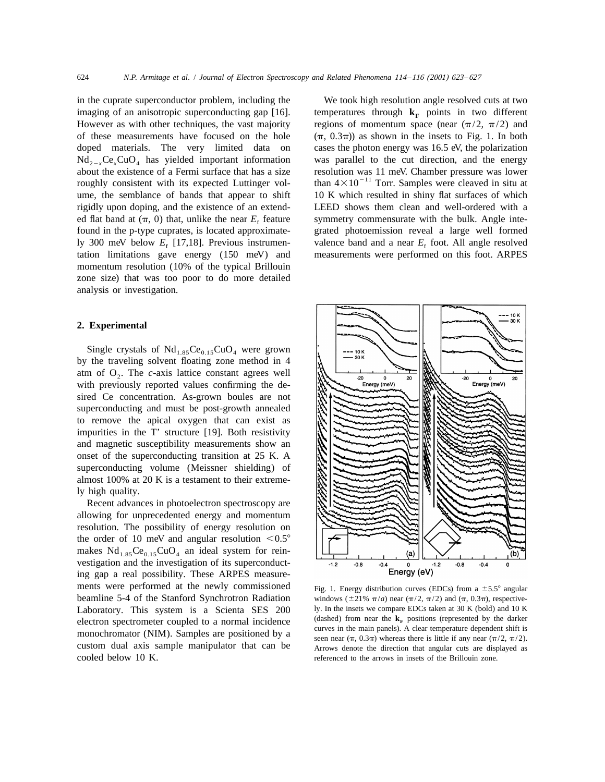in the cuprate superconductor problem, including the We took high resolution angle resolved cuts at two imaging of an anisotropic superconducting gap [16]. temperatures through  $\mathbf{k}_F$  points in two different However as with other techniques, the vast majority regions of momentum space (near  $(\pi/2, \pi/2)$  and of these measurements have focused on the hole  $(\pi, 0.3\pi)$  as shown in the insets to Fig. 1. In both doped materials. The very limited data on cases the photon energy was 16.5 eV, the polarization  $Nd_{2-x}Ce_xCuO_4$  has yielded important information was parallel to the cut direction, and the energy about the existence of a Fermi surface that has a size resolution was 11 meV. Chamber pressure was lower roughly consistent with its expected Luttinger vol-<br>than  $4 \times 10^{-11}$  Torr. Samples were cleaved in situ at ume, the semblance of bands that appear to shift 10 K which resulted in shiny flat surfaces of which rigidly upon doping, and the existence of an extend- LEED shows them clean and well-ordered with a ed flat band at  $(\pi, 0)$  that, unlike the near  $E_f$  feature symmetry commensurate with the bulk. Angle inte-<br>found in the p-type cuprates, is located approximate-<br>grated photoemission reveal a large well formed ly 300 meV below  $E_f$  [17,18]. Previous instrumen-<br>tation limitations gave energy (150 meV) and measurements were performed on this foot. ARPES tation limitations gave energy  $(150 \text{ meV})$  and momentum resolution (10% of the typical Brillouin zone size) that was too poor to do more detailed analysis or investigation.

## **2. Experimental**

Single crystals of  $Nd_{1.85}Ce_{0.15}CuO_4$  were grown by the traveling solvent floating zone method in 4 atm of  $O<sub>2</sub>$ . The *c*-axis lattice constant agrees well with previously reported values confirming the desired Ce concentration. As-grown boules are not superconducting and must be post-growth annealed to remove the apical oxygen that can exist as impurities in the T' structure [19]. Both resistivity and magnetic susceptibility measurements show an onset of the superconducting transition at 25 K. A superconducting volume (Meissner shielding) of almost 100% at 20 K is a testament to their extremely high quality.

Recent advances in photoelectron spectroscopy are allowing for unprecedented energy and momentum resolution. The possibility of energy resolution on the order of 10 meV and angular resolution  $< 0.5^{\circ}$ makes  $Nd<sub>1.85</sub>Ce<sub>0.15</sub>CuO<sub>4</sub>$  an ideal system for reinvestigation and the investigation of its superconducting gap a real possibility. These ARPES measurements were performed at the newly commissioned Fig. 1. Energy distribution curves (EDCs) from a  $\pm$  5.5° angular

grated photoemission reveal a large well formed



beamline 5-4 of the Stanford Synchrotron Radiation windows ( $\pm 21\%$   $\pi$ /*a*) near ( $\pi$ /2,  $\pi$ /2) and ( $\pi$ , 0.3 $\pi$ ), respective-Laboratory. This system is a Scienta SES 200 ly. In the insets we compare EDCs taken at 30 K (bold) and 10 K electron spectrometer coupled to a normal incidence (dashed) from near the  $\mathbf{k}_F$  positions (represented by th electron spectrometer coupled to a normal incidence  $\frac{\text{(aashed)}}{\text{curves in the main panels}}$ . A clear temperature dependent shift is monochromator (NIM). Samples are positioned by a seen near  $(\pi, 0.3\pi)$  whereas there is little if any near  $(\pi/2, \pi/2)$ . custom dual axis sample manipulator that can be Arrows denote the direction that angular cuts are displayed as<br>cooled below 10 K. referenced to the arrows in insets of the Brillouin zone. referenced to the arrows in insets of the Brillouin zone.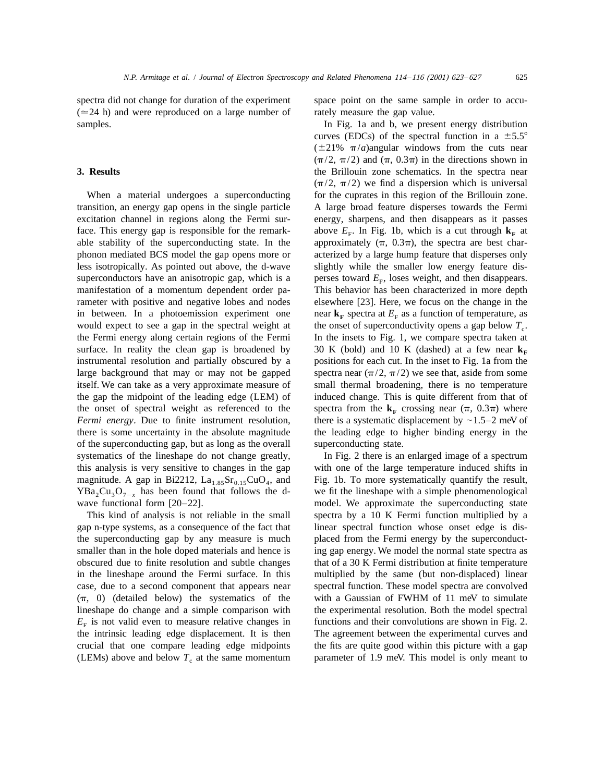spectra did not change for duration of the experiment space point on the same sample in order to accu- $(24 h)$  and were reproduced on a large number of rately measure the gap value. samples. In Fig. 1a and b, we present energy distribution

transition, an energy gap opens in the single particle A large broad feature disperses towards the Fermi excitation channel in regions along the Fermi sur- energy, sharpens, and then disappears as it passes face. This energy gap is responsible for the remark-<br>above  $E_F$ . In Fig. 1b, which is a cut through  $\mathbf{k}_F$  at able stability of the superconducting state. In the approximately  $(\pi, 0.3\pi)$ , the spectra are best charphonon mediated BCS model the gap opens more or acterized by a large hump feature that disperses only less isotropically. As pointed out above, the d-wave slightly while the smaller low energy feature dissuperconductors have an anisotropic gap, which is a perses toward  $E_F$ , loses weight, and then disappears. manifestation of a momentum dependent order pa- This behavior has been characterized in more depth rameter with positive and negative lobes and nodes elsewhere [23]. Here, we focus on the change in the in between. In a photoemission experiment one near  $\mathbf{k}_F$  spectra at  $E_F$  as a function of temperature, as would expect to see a gap in the spectral weight at the onset of superconductivity opens a gap below  $T_c$ . would expect to see a gap in the spectral weight at the onset of superconductivity opens a gap below  $T_c$ .<br>the Fermi energy along certain regions of the Fermi In the insets to Fig. 1, we compare spectra taken at surface. In reality the clean gap is broadened by  $30 \text{ K}$  (bold) and 10 K (dashed) at a few near  $\mathbf{k}_F$  instrumental resolution and partially obscured by a positions for each cut. In the inset to Fig. 1a from the instrumental resolution and partially obscured by a large background that may or may not be gapped spectra near  $(\pi/2, \pi/2)$  we see that, aside from some itself. We can take as a very approximate measure of small thermal broadening, there is no temperature the gap the midpoint of the leading edge (LEM) of induced change. This is quite different from that of the onset of spectral weight as referenced to the spectra from the  $\mathbf{k}_F$  crossing near ( $\pi$ , 0.3 $\pi$ ) where *Fermi energy.* Due to finite instrument resolution, there is a systematic displacement by  $\sim$ 1.5–2 meV of there is some uncertainty in the absolute magnitude the leading edge to higher binding energy in the of the superconducting gap, but as long as the overall superconducting state. systematics of the lineshape do not change greatly, In Fig. 2 there is an enlarged image of a spectrum this analysis is very sensitive to changes in the gap with one of the large temperature induced shifts in magnitude. A gap in Bi2212,  $La_{1.85}Sr_{0.15}CuO_4$ , and Fig. 1b. To more systematically quantify the result,  $YBa_2Cu_3O_{7-x}$  has been found that follows the d-<br>we fit the lineshape with a simple phenomenological<br>wave functional form [20–22].<br>model. We approximate the superconducting state

gap n-type systems, as a consequence of the fact that linear spectral function whose onset edge is disthe superconducting gap by any measure is much placed from the Fermi energy by the superconductsmaller than in the hole doped materials and hence is ing gap energy. We model the normal state spectra as obscured due to finite resolution and subtle changes that of a 30 K Fermi distribution at finite temperature in the lineshape around the Fermi surface. In this multiplied by the same (but non-displaced) linear case, due to a second component that appears near spectral function. These model spectra are convolved  $(\pi, 0)$  (detailed below) the systematics of the with a Gaussian of FWHM of 11 meV to simulate lineshape do change and a simple comparison with the experimental resolution. Both the model spectral  $E<sub>F</sub>$  is not valid even to measure relative changes in functions and their convolutions are shown in Fig. 2. the intrinsic leading edge displacement. It is then The agreement between the experimental curves and crucial that one compare leading edge midpoints the fits are quite good within this picture with a gap

curves (EDCs) of the spectral function in a  $\pm 5.5^{\circ}$  $(\pm 21\% \ \pi/a)$ angular windows from the cuts near  $(\pi/2, \pi/2)$  and  $(\pi, 0.3\pi)$  in the directions shown in **3. Results** the Brillouin zone schematics. In the spectra near  $(\pi/2, \pi/2)$  we find a dispersion which is universal When a material undergoes a superconducting for the cuprates in this region of the Brillouin zone. approximately  $(\pi, 0.3\pi)$ , the spectra are best char-In the insets to Fig. 1, we compare spectra taken at

model. We approximate the superconducting state This kind of analysis is not reliable in the small spectra by a 10 K Fermi function multiplied by a (LEMs) above and below  $T_c$  at the same momentum parameter of 1.9 meV. This model is only meant to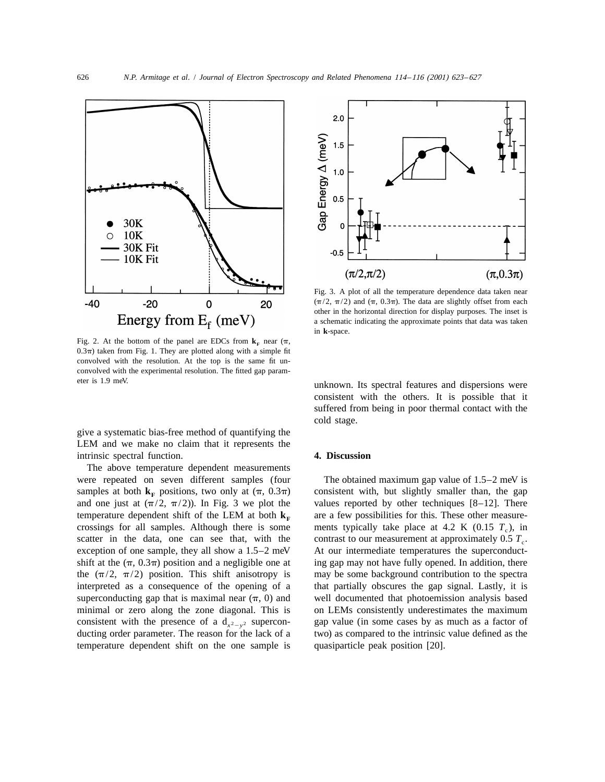

Fig. 2. At the bottom of the panel are EDCs from  $\mathbf{k}_F$  near  $(\pi, \mathbf{k})$  $0.3\pi$ ) taken from Fig. 1. They are plotted along with a simple fit convolved with the resolution. At the top is the same fit unconvolved with the experimental resolution. The fitted gap param-

give a systematic bias-free method of quantifying the LEM and we make no claim that it represents the intrinsic spectral function. **4. Discussion**

The above temperature dependent measurements were repeated on seven different samples (four The obtained maximum gap value of 1.5–2 meV is samples at both  $\mathbf{k}_F$  positions, two only at  $(\pi, 0.3\pi)$  consistent with, but slightly smaller than, the gap and one just at  $(\pi/2, \pi/2)$ ). In Fig. 3 we plot the values reported by other techniques [8–12]. There and one just at  $(\pi/2, \pi/2)$ ). In Fig. 3 we plot the temperature dependent shift of the LEM at both  $k_F$  are a few possibilities for this. These other measure-<br>crossings for all samples. Although there is some ments typically take place at 4.2 K (0.15  $T_c$ ), in crossings for all samples. Although there is some ments typically take place at 4.2 K (0.15  $T_c$ ), in scatter in the data, one can see that, with the contrast to our measurement at approximately 0.5  $T_c$ . scatter in the data, one can see that, with the exception of one sample, they all show a  $1.5-2$  meV At our intermediate temperatures the superconductshift at the  $(\pi, 0.3\pi)$  position and a negligible one at ing gap may not have fully opened. In addition, there the  $(\pi/2, \pi/2)$  position. This shift anisotropy is may be some background contribution to the spectra interpreted as a consequence of the opening of a that partially obscures the gap signal. Lastly, it is superconducting gap that is maximal near  $(\pi, 0)$  and well documented that photoemission analysis based minimal or zero along the zone diagonal. This is on LEMs consistently underestimates the maximum consistent with the presence of a  $d_{x^2-y^2}$  supercon-<br>ducting order parameter. The reason for the lack of a *x x x* wo) as compared to the intrinsic value defined as the ducting order parameter. The reason for the lack of a temperature dependent shift on the one sample is quasiparticle peak position [20].



Fig. 3. A plot of all the temperature dependence data taken near  $(\pi/2, \pi/2)$  and  $(\pi, 0.3\pi)$ . The data are slightly offset from each other in the horizontal direction for display purposes. The inset is a schematic indicating the approximate points that data was taken in **k**-space.

eter is 1.9 meV. unknown. Its spectral features and dispersions were consistent with the others. It is possible that it suffered from being in poor thermal contact with the cold stage.